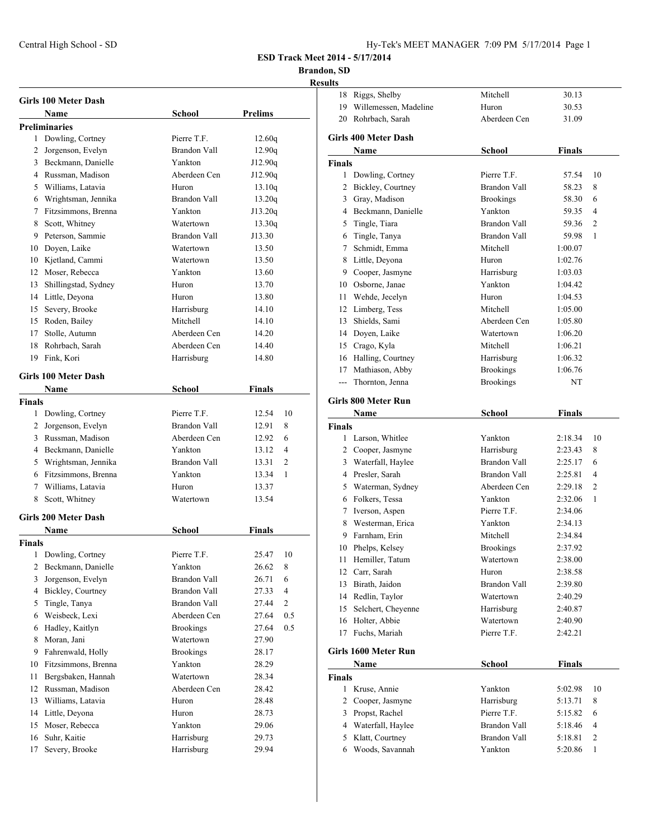| Hy-Tek's MEET MANAGER 7:09 PM 5/17/2014 Page 1 |  |  |  |  |
|------------------------------------------------|--|--|--|--|
|------------------------------------------------|--|--|--|--|

### **Brandon, SD**

|                | Girls 100 Meter Dash        |                     |                         |
|----------------|-----------------------------|---------------------|-------------------------|
|                | Name                        | <b>School</b>       | <b>Prelims</b>          |
|                | <b>Preliminaries</b>        |                     |                         |
| 1              | Dowling, Cortney            | Pierre T.F.         | 12.60q                  |
|                | 2 Jorgenson, Evelyn         | <b>Brandon Vall</b> | 12.90q                  |
|                | 3 Beckmann, Danielle        | Yankton             | J12.90q                 |
|                | 4 Russman, Madison          | Aberdeen Cen        | J12.90q                 |
|                | 5 Williams, Latavia         | Huron               | 13.10q                  |
|                | 6 Wrightsman, Jennika       | <b>Brandon Vall</b> | 13.20q                  |
|                | 7 Fitzsimmons, Brenna       | Yankton             | J13.20q                 |
|                | 8 Scott, Whitney            | Watertown           | 13.30q                  |
|                | 9 Peterson, Sammie          | <b>Brandon Vall</b> | J13.30                  |
|                | 10 Doyen, Laike             | Watertown           | 13.50                   |
|                | 10 Kjetland, Cammi          | Watertown           | 13.50                   |
|                | 12 Moser, Rebecca           | Yankton             | 13.60                   |
| 13             | Shillingstad, Sydney        | Huron               | 13.70                   |
|                | 14 Little, Deyona           | Huron               | 13.80                   |
|                | 15 Severy, Brooke           | Harrisburg          | 14.10                   |
|                | 15 Roden, Bailey            | Mitchell            | 14.10                   |
|                | 17 Stolle, Autumn           | Aberdeen Cen        | 14.20                   |
|                | 18 Rohrbach, Sarah          | Aberdeen Cen        | 14.40                   |
|                | 19 Fink, Kori               | Harrisburg          | 14.80                   |
|                |                             |                     |                         |
|                | <b>Girls 100 Meter Dash</b> |                     |                         |
|                | Name                        | School              | <b>Finals</b>           |
| <b>Finals</b>  |                             |                     |                         |
| 1              | Dowling, Cortney            | Pierre T.F.         | 12.54<br>10             |
|                | 2 Jorgenson, Evelyn         | Brandon Vall        | 12.91<br>8              |
|                | 3 Russman, Madison          | Aberdeen Cen        | 12.92<br>6              |
|                | 4 Beckmann, Danielle        | Yankton             | $\overline{4}$<br>13.12 |
|                | 5 Wrightsman, Jennika       | <b>Brandon Vall</b> | $\overline{c}$<br>13.31 |
|                | 6 Fitzsimmons, Brenna       | Yankton             | 13.34<br>1              |
|                | 7 Williams, Latavia         | Huron               | 13.37                   |
| 8              | Scott, Whitney              | Watertown           | 13.54                   |
|                | <b>Girls 200 Meter Dash</b> |                     |                         |
|                | Name                        | School              | Finals                  |
| <b>Finals</b>  |                             |                     |                         |
|                | 1 Dowling, Cortney          | Pierre T.F.         | 25.47<br>10             |
| 2              | Beckmann, Danielle          | Yankton             | 26.62<br>8              |
| 3              | Jorgenson, Evelyn           | <b>Brandon Vall</b> | 6<br>26.71              |
| $\overline{4}$ | Bickley, Courtney           | <b>Brandon Vall</b> | 4<br>27.33              |
| 5              | Tingle, Tanya               | <b>Brandon Vall</b> | $\overline{c}$<br>27.44 |
| 6              | Weisbeck, Lexi              | Aberdeen Cen        | 0.5<br>27.64            |
| 6              | Hadley, Kaitlyn             | <b>Brookings</b>    | 0.5<br>27.64            |
| 8              | Moran, Jani                 | Watertown           | 27.90                   |
| 9              | Fahrenwald, Holly           | <b>Brookings</b>    | 28.17                   |
| 10             | Fitzsimmons, Brenna         | Yankton             | 28.29                   |
| 11             | Bergsbaken, Hannah          | Watertown           | 28.34                   |
| 12             | Russman, Madison            | Aberdeen Cen        | 28.42                   |
| 13             | Williams, Latavia           |                     | 28.48                   |
|                |                             | Huron               |                         |
| 14             | Little, Deyona              | Huron               | 28.73                   |
| 15             | Moser, Rebecca              | Yankton             | 29.06                   |
| 16             | Suhr, Kaitie                | Harrisburg          | 29.73                   |
| 17             | Severy, Brooke              | Harrisburg          | 29.94                   |
|                |                             |                     |                         |

| uns           |                                |                          |               |                |
|---------------|--------------------------------|--------------------------|---------------|----------------|
| 18            | Riggs, Shelby                  | Mitchell                 | 30.13         |                |
|               | 19 Willemessen, Madeline       | Huron                    | 30.53         |                |
|               | 20 Rohrbach, Sarah             | Aberdeen Cen             | 31.09         |                |
|               |                                |                          |               |                |
|               | <b>Girls 400 Meter Dash</b>    |                          |               |                |
|               | Name                           | <b>School</b>            | <b>Finals</b> |                |
| <b>Finals</b> |                                |                          |               |                |
| 1             | Dowling, Cortney               | Pierre T.F.              | 57.54         | 10             |
|               | 2 Bickley, Courtney            | Brandon Vall             | 58.23         | 8              |
|               | 3 Gray, Madison                | <b>Brookings</b>         | 58.30         | 6              |
|               | 4 Beckmann, Danielle           | Yankton                  | 59.35         | $\overline{4}$ |
| 5             | Tingle, Tiara                  | Brandon Vall             | 59.36         | $\overline{2}$ |
| 6             | Tingle, Tanya                  | Brandon Vall             | 59.98         | 1              |
| 7             | Schmidt, Emma                  | Mitchell                 | 1:00.07       |                |
| 8             | Little, Deyona                 | Huron                    | 1:02.76       |                |
| 9             | Cooper, Jasmyne                | Harrisburg               | 1:03.03       |                |
|               | 10 Osborne, Janae              | Yankton                  | 1:04.42       |                |
|               | 11 Wehde, Jecelyn              | Huron                    | 1:04.53       |                |
|               | 12 Limberg, Tess               | Mitchell                 | 1:05.00       |                |
|               | 13 Shields, Sami               | Aberdeen Cen             | 1:05.80       |                |
|               | 14 Doyen, Laike                | Watertown                | 1:06.20       |                |
|               | 15 Crago, Kyla                 | Mitchell                 | 1:06.21       |                |
|               | 16 Halling, Courtney           | Harrisburg               | 1:06.32       |                |
| 17            | Mathiason, Abby                | <b>Brookings</b>         | 1:06.76       |                |
| $\sim$ $\sim$ | Thornton, Jenna                | <b>Brookings</b>         | NT            |                |
|               | Girls 800 Meter Run            |                          |               |                |
|               | Name                           | <b>School</b>            | <b>Finals</b> |                |
| <b>Finals</b> |                                |                          |               |                |
|               | 1 Larson, Whitlee              | Yankton                  | 2:18.34       | 10             |
|               | 2 Cooper, Jasmyne              | Harrisburg               | 2:23.43       | 8              |
|               | 3 Waterfall, Haylee            | Brandon Vall             | 2:25.17       | 6              |
|               | 4 Presler, Sarah               | <b>Brandon Vall</b>      | 2:25.81       | 4              |
|               | 5 Waterman, Sydney             | Aberdeen Cen             | 2:29.18       | 2              |
|               | 6 Folkers, Tessa               | Yankton                  | 2:32.06       | 1              |
| 7             | Iverson, Aspen                 | Pierre T.F.              | 2:34.06       |                |
| 8             | Westerman, Erica               | Yankton                  | 2:34.13       |                |
| 9             | Farnham, Erin                  | Mitchell                 | 2:34.84       |                |
|               | 10 Phelps, Kelsey              | <b>Brookings</b>         | 2:37.92       |                |
|               | 11 Hemiller, Tatum             | Watertown                | 2:38.00       |                |
|               | 12 Carr, Sarah                 | Huron                    | 2:38.58       |                |
| 13            | Birath, Jaidon                 | Brandon Vall             | 2:39.80       |                |
|               |                                | Watertown                | 2:40.29       |                |
|               | 14 Redlin, Taylor              |                          |               |                |
| 15            | Selchert, Cheyenne             | Harrisburg               | 2:40.87       |                |
| 16            | Holter, Abbie<br>Fuchs, Mariah | Watertown<br>Pierre T.F. | 2:40.90       |                |
| 17            |                                |                          | 2:42.21       |                |
|               | Girls 1600 Meter Run           |                          |               |                |
|               | Name                           | <b>School</b>            | <b>Finals</b> |                |
| Finals        |                                |                          |               |                |
| 1             | Kruse, Annie                   | Yankton                  | 5:02.98       | 10             |
|               | 2 Cooper, Jasmyne              | Harrisburg               | 5:13.71       | 8              |
| 3             | Propst, Rachel                 | Pierre T.F.              | 5:15.82       | 6              |
|               | 4 Waterfall, Haylee            | Brandon Vall             | 5:18.46       | 4              |
| 5             | Klatt, Courtney                | Brandon Vall             | 5:18.81       | 2              |
| 6             | Woods, Savannah                | Yankton                  | 5:20.86       | 1              |
|               |                                |                          |               |                |
|               |                                |                          |               |                |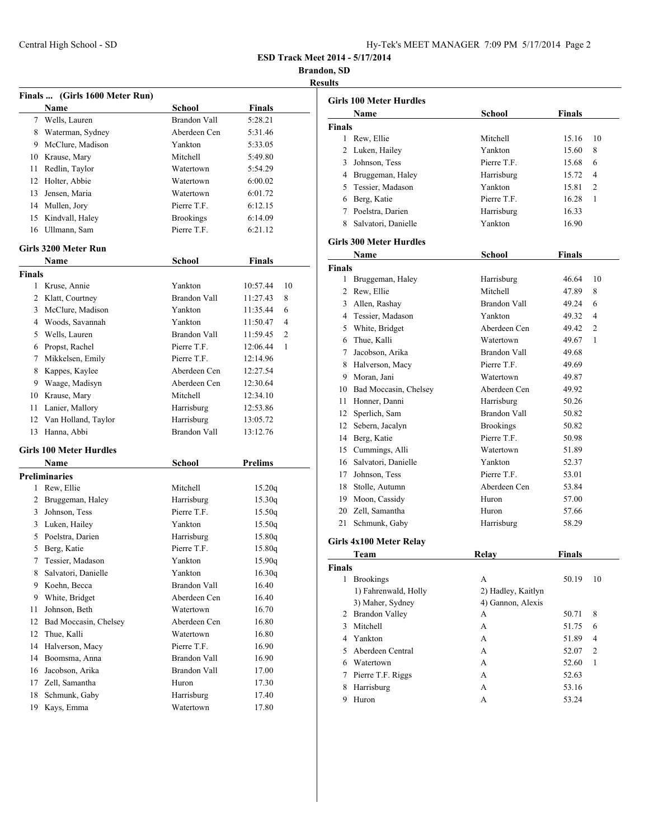| Hy-Tek's MEET MANAGER 7:09 PM 5/17/2014 Page 2 |  |  |  |
|------------------------------------------------|--|--|--|
|------------------------------------------------|--|--|--|

**Brandon, SD Results**

|        |                                |                     | R              |
|--------|--------------------------------|---------------------|----------------|
|        | Finals  (Girls 1600 Meter Run) |                     |                |
|        | Name                           | <b>School</b>       | <b>Finals</b>  |
|        | 7 Wells, Lauren                | <b>Brandon Vall</b> | 5:28.21        |
|        | 8 Waterman, Sydney             | Aberdeen Cen        | 5:31.46        |
| 9      | McClure, Madison               | Yankton             | 5:33.05        |
|        | 10 Krause, Mary                | Mitchell            | 5:49.80        |
| 11     | Redlin, Taylor                 | Watertown           | 5:54.29        |
|        | 12 Holter, Abbie               | Watertown           | 6:00.02        |
| 13     | Jensen, Maria                  | Watertown           | 6:01.72        |
|        | 14 Mullen, Jory                | Pierre T.F.         | 6:12.15        |
|        | 15 Kindvall, Haley             | <b>Brookings</b>    | 6:14.09        |
|        | 16 Ullmann, Sam                | Pierre T.F.         | 6:21.12        |
|        | Girls 3200 Meter Run           |                     |                |
|        | Name                           | <b>School</b>       | <b>Finals</b>  |
| Finals |                                |                     |                |
| 1      | Kruse, Annie                   | Yankton             | 10:57.44<br>10 |
|        | 2 Klatt, Courtney              | <b>Brandon Vall</b> | 11:27.43<br>8  |
| 3      | McClure, Madison               | Yankton             | 6<br>11:35.44  |
|        | 4 Woods, Savannah              | Yankton             | 11:50.47<br>4  |
|        | 5 Wells, Lauren                | <b>Brandon Vall</b> | 11:59.45<br>2  |
|        | 6 Propst, Rachel               | Pierre T.F.         | 12:06.44<br>1  |
| 7      | Mikkelsen, Emily               | Pierre T.F.         | 12:14.96       |
| 8      | Kappes, Kaylee                 | Aberdeen Cen        | 12:27.54       |
| 9.     | Waage, Madisyn                 | Aberdeen Cen        | 12:30.64       |
|        | 10 Krause, Mary                | Mitchell            | 12:34.10       |
| 11     | Lanier, Mallory                | Harrisburg          | 12:53.86       |
| 12     | Van Holland, Taylor            | Harrisburg          | 13:05.72       |
|        | 13 Hanna, Abbi                 | <b>Brandon Vall</b> | 13:12.76       |
|        | <b>Girls 100 Meter Hurdles</b> |                     |                |
|        | Name                           | School              | <b>Prelims</b> |
|        | <b>Preliminaries</b>           |                     |                |
| 1      | Rew, Ellie                     | Mitchell            | 15.20q         |
|        | 2 Bruggeman, Haley             | Harrisburg          | 15.30q         |
| 3      | Johnson, Tess                  | Pierre T.F.         | 15.50q         |
| 3      | Luken, Hailey                  | Yankton             | 15.50q         |
| 5      | Poelstra, Darien               | Harrisburg          | 15.80q         |
| 5      | Berg, Katie                    | Pierre T.F.         | 15.80q         |
| 7      | Tessier, Madason               | Yankton             | 15.90q         |
| 8      | Salvatori, Danielle            | Yankton             | 16.30q         |
| 9      | Koehn, Becca                   | Brandon Vall        | 16.40          |
| 9      | White, Bridget                 | Aberdeen Cen        | 16.40          |
| 11     | Johnson, Beth                  | Watertown           | 16.70          |
| 12     | Bad Moccasin, Chelsey          | Aberdeen Cen        | 16.80          |
| 12     | Thue, Kalli                    | Watertown           | 16.80          |
| 14     | Halverson, Macy                | Pierre T.F.         | 16.90          |
| 14     | Boomsma, Anna                  | <b>Brandon Vall</b> | 16.90          |
| 16     | Jacobson, Arika                | Brandon Vall        | 17.00          |
| 17     | Zell, Samantha                 | Huron               | 17.30          |
| 18     | Schmunk, Gaby                  | Harrisburg          | 17.40          |
| 19     | Kays, Emma                     | Watertown           | 17.80          |

|               | <b>Girls 100 Meter Hurdles</b> |                    |               |                |
|---------------|--------------------------------|--------------------|---------------|----------------|
|               | Name                           | School             | <b>Finals</b> |                |
| <b>Finals</b> |                                |                    |               |                |
| 1             | Rew, Ellie                     | Mitchell           | 15.16         | 10             |
| 2             | Luken, Hailey                  | Yankton            | 15.60         | 8              |
|               | 3 Johnson, Tess                | Pierre T.F.        | 15.68         | 6              |
|               | 4 Bruggeman, Haley             | Harrisburg         | 15.72         | 4              |
|               | 5 Tessier, Madason             | Yankton            | 15.81         | $\overline{2}$ |
|               | 6 Berg, Katie                  | Pierre T.F.        | 16.28         | 1              |
|               | 7 Poelstra, Darien             | Harrisburg         | 16.33         |                |
|               | 8 Salvatori, Danielle          | Yankton            | 16.90         |                |
|               | <b>Girls 300 Meter Hurdles</b> |                    |               |                |
|               | Name                           | School             | <b>Finals</b> |                |
| <b>Finals</b> |                                |                    |               |                |
| 1             | Bruggeman, Haley               | Harrisburg         | 46.64         | 10             |
|               | 2 Rew, Ellie                   | Mitchell           | 47.89         | 8              |
|               | 3 Allen, Rashay                | Brandon Vall       | 49.24         | 6              |
|               | 4 Tessier, Madason             | Yankton            | 49.32         | 4              |
|               | 5 White, Bridget               | Aberdeen Cen       | 49.42         | $\overline{2}$ |
|               | 6 Thue, Kalli                  | Watertown          | 49.67         | 1              |
| 7             | Jacobson, Arika                | Brandon Vall       | 49.68         |                |
|               | 8 Halverson, Macy              | Pierre T.F.        | 49.69         |                |
|               | 9 Moran, Jani                  | Watertown          | 49.87         |                |
|               | 10 Bad Moccasin, Chelsey       | Aberdeen Cen       | 49.92         |                |
|               | 11 Honner, Danni               | Harrisburg         | 50.26         |                |
|               | 12 Sperlich, Sam               | Brandon Vall       | 50.82         |                |
|               | 12 Sebern, Jacalyn             | <b>Brookings</b>   | 50.82         |                |
|               | 14 Berg, Katie                 | Pierre T.F.        | 50.98         |                |
|               | 15 Cummings, Alli              | Watertown          | 51.89         |                |
|               | 16 Salvatori, Danielle         | Yankton            | 52.37         |                |
|               | 17 Johnson, Tess               | Pierre T.F.        | 53.01         |                |
|               | 18 Stolle, Autumn              | Aberdeen Cen       | 53.84         |                |
|               | 19 Moon, Cassidy               | Huron              | 57.00         |                |
|               | 20 Zell, Samantha              | Huron              | 57.66         |                |
| 21            | Schmunk, Gaby                  | Harrisburg         | 58.29         |                |
|               |                                |                    |               |                |
|               | Girls 4x100 Meter Relay        |                    |               |                |
|               | Team                           | Relay              | Finals        |                |
| <b>Finals</b> |                                |                    |               |                |
| 1             | <b>Brookings</b>               | А                  | 50.19         | 10             |
|               | 1) Fahrenwald, Holly           | 2) Hadley, Kaitlyn |               |                |
|               | 3) Maher, Sydney               | 4) Gannon, Alexis  |               |                |
| 2             | <b>Brandon Valley</b>          | А                  | 50.71         | 8              |
| 3             | Mitchell                       | А                  | 51.75         | 6              |
|               | 4 Yankton                      | А                  | 51.89         | 4              |
| 5             | Aberdeen Central               | А                  | 52.07         | 2              |
|               | 6 Watertown                    | А                  | 52.60         | 1              |
| 7             | Pierre T.F. Riggs              | A                  | 52.63         |                |
| 8             | Harrisburg                     | A                  | 53.16         |                |
| 9             | Huron                          | А                  | 53.24         |                |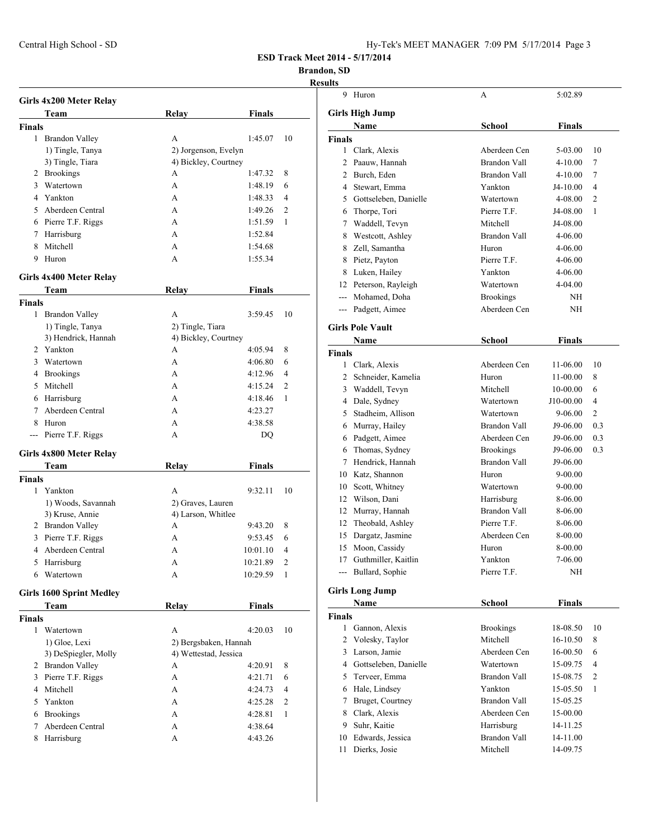## **Brandon, SD**

|               | Girls 4x200 Meter Relay         |                       |               |                |
|---------------|---------------------------------|-----------------------|---------------|----------------|
|               | Team                            | <b>Relay</b>          | Finals        |                |
| <b>Finals</b> |                                 |                       |               |                |
|               | 1 Brandon Valley                | A                     | 1:45.07       | 10             |
|               | 1) Tingle, Tanya                | 2) Jorgenson, Evelyn  |               |                |
|               | 3) Tingle, Tiara                | 4) Bickley, Courtney  |               |                |
|               | 2 Brookings                     | А                     | 1:47.32       | 8              |
|               | 3 Watertown                     | А                     | 1:48.19       | 6              |
|               | 4 Yankton                       | А                     | 1:48.33       | 4              |
|               | 5 Aberdeen Central              | A                     | 1:49.26       | 2              |
|               | 6 Pierre T.F. Riggs             | A                     | 1:51.59       | 1              |
|               | 7 Harrisburg                    | А                     | 1:52.84       |                |
|               | 8 Mitchell                      | A                     | 1:54.68       |                |
| 9             | Huron                           | А                     | 1:55.34       |                |
|               |                                 |                       |               |                |
|               | Girls 4x400 Meter Relay         |                       |               |                |
|               | Team                            | Relay                 | Finals        |                |
| <b>Finals</b> |                                 |                       |               |                |
|               | 1 Brandon Valley                | A                     | 3:59.45       | 10             |
|               | 1) Tingle, Tanya                | 2) Tingle, Tiara      |               |                |
|               | 3) Hendrick, Hannah             | 4) Bickley, Courtney  |               |                |
|               | 2 Yankton                       | А                     | 4:05.94       | 8              |
|               | 3 Watertown                     | А                     | 4:06.80       | 6              |
|               | 4 Brookings                     | A                     | 4:12.96       | 4              |
|               | 5 Mitchell                      | А                     | 4:15.24       | 2              |
|               | 6 Harrisburg                    | А                     | 4:18.46       | 1              |
| $7^{\circ}$   | Aberdeen Central                | A                     | 4:23.27       |                |
| 8             | Huron                           | A                     | 4:38.58       |                |
| $---$         | Pierre T.F. Riggs               | А                     | DQ            |                |
|               | Girls 4x800 Meter Relay         |                       |               |                |
|               | Team                            | <b>Relay</b>          | <b>Finals</b> |                |
| <b>Finals</b> |                                 |                       |               |                |
| 1             | Yankton                         | А                     | 9:32.11       | 10             |
|               | 1) Woods, Savannah              | 2) Graves, Lauren     |               |                |
|               | 3) Kruse, Annie                 | 4) Larson, Whitlee    |               |                |
|               | 2 Brandon Valley                | А                     | 9:43.20       | 8              |
|               | 3 Pierre T.F. Riggs             | A                     | 9:53.45       | 6              |
|               | 4 Aberdeen Central              | А                     | 10:01.10      | 4              |
|               | 5 Harrisburg                    | А                     | 10:21.89      | $\overline{c}$ |
|               | 6 Watertown                     | А                     | 10:29.59      | 1              |
|               |                                 |                       |               |                |
|               | <b>Girls 1600 Sprint Medley</b> |                       |               |                |
|               | Team                            | <b>Relay</b>          | <b>Finals</b> |                |
| <b>Finals</b> |                                 |                       |               |                |
| 1             | Watertown                       | А                     | 4:20.03       | 10             |
|               | 1) Gloe, Lexi                   | 2) Bergsbaken, Hannah |               |                |
|               | 3) DeSpiegler, Molly            | 4) Wettestad, Jessica |               |                |
|               | 2 Brandon Valley                | A                     | 4:20.91       | 8              |
| 3             | Pierre T.F. Riggs               | A                     | 4:21.71       | 6              |
|               | 4 Mitchell                      | А                     | 4:24.73       | 4              |
| 5             | Yankton                         | A                     | 4:25.28       | 2              |
| 6             | <b>Brookings</b>                | A                     | 4:28.81       | 1              |
| 7             | Aberdeen Central                | А                     | 4:38.64       |                |
| 8             | Harrisburg                      | А                     | 4:43.26       |                |
|               |                                 |                       |               |                |

| ults          |                                        |                      |               |                |
|---------------|----------------------------------------|----------------------|---------------|----------------|
| 9             | Huron                                  | A                    | 5:02.89       |                |
|               | <b>Girls High Jump</b>                 |                      |               |                |
|               |                                        | <b>School</b>        | <b>Finals</b> |                |
|               | Name                                   |                      |               |                |
| <b>Finals</b> | 1 Clark, Alexis                        | Aberdeen Cen         | 5-03.00       | 10             |
| 2             | Paauw, Hannah                          | <b>Brandon Vall</b>  | 4-10.00       | 7              |
| 2             |                                        | <b>Brandon Vall</b>  | $4 - 10.00$   | 7              |
|               | Burch, Eden                            |                      |               |                |
| 4             | Stewart, Emma<br>Gottseleben, Danielle | Yankton<br>Watertown | $J4-10.00$    | 4              |
| 5             |                                        |                      | 4-08.00       | $\overline{2}$ |
| 6             | Thorpe, Tori                           | Pierre T.F.          | J4-08.00      | 1              |
| 7             | Waddell, Tevyn                         | Mitchell             | J4-08.00      |                |
| 8             | Westcott, Ashley                       | Brandon Vall         | 4-06.00       |                |
| 8             | Zell, Samantha                         | Huron                | 4-06.00       |                |
| 8             | Pietz, Payton                          | Pierre T.F.          | 4-06.00       |                |
| 8             | Luken, Hailey                          | Yankton              | 4-06.00       |                |
| 12            | Peterson, Rayleigh                     | Watertown            | 4-04.00       |                |
| $---$         | Mohamed, Doha                          | <b>Brookings</b>     | NH            |                |
| ---           | Padgett, Aimee                         | Aberdeen Cen         | NH            |                |
|               | <b>Girls Pole Vault</b>                |                      |               |                |
|               | Name                                   | <b>School</b>        | <b>Finals</b> |                |
| Finals        |                                        |                      |               |                |
| 1             | Clark, Alexis                          | Aberdeen Cen         | 11-06.00      | 10             |
|               | 2 Schneider, Kamelia                   | Huron                | 11-00.00      | 8              |
| 3             | Waddell, Tevyn                         | Mitchell             | 10-00.00      | 6              |
| 4             | Dale, Sydney                           | Watertown            | J10-00.00     | 4              |
| 5             | Stadheim, Allison                      | Watertown            | 9-06.00       | $\overline{2}$ |
| 6             | Murray, Hailey                         | <b>Brandon Vall</b>  | J9-06.00      | 0.3            |
| 6             | Padgett, Aimee                         | Aberdeen Cen         | J9-06.00      | 0.3            |
| 6             | Thomas, Sydney                         | <b>Brookings</b>     | J9-06.00      | 0.3            |
| 7             | Hendrick, Hannah                       | Brandon Vall         | J9-06.00      |                |
| 10            | Katz, Shannon                          | Huron                | 9-00.00       |                |
| 10            | Scott, Whitney                         | Watertown            | 9-00.00       |                |
| 12            | Wilson, Dani                           | Harrisburg           | 8-06.00       |                |
| 12            | Murray, Hannah                         | <b>Brandon Vall</b>  | 8-06.00       |                |
| 12            | Theobald, Ashley                       | Pierre T.F.          | 8-06.00       |                |
| 15            | Dargatz, Jasmine                       | Aberdeen Cen         | 8-00.00       |                |
| 15            | Moon, Cassidy                          | Huron                | 8-00.00       |                |
|               | 17 Guthmiller, Kaitlin                 | Yankton              | 7-06.00       |                |
|               | --- Bullard, Sophie                    | Pierre T.F.          | NH            |                |
|               |                                        |                      |               |                |
|               | <b>Girls Long Jump</b>                 |                      |               |                |
|               | Name                                   | School               | <b>Finals</b> |                |
| <b>Finals</b> |                                        |                      |               |                |
|               | 1 Gannon, Alexis                       | <b>Brookings</b>     | 18-08.50      | 10             |
| 2             | Volesky, Taylor                        | Mitchell             | 16-10.50      | 8              |
| 3             | Larson, Jamie                          | Aberdeen Cen         | 16-00.50      | 6              |
|               | 4 Gottseleben, Danielle                | Watertown            | 15-09.75      | 4              |
| 5             | Terveer, Emma                          | Brandon Vall         | 15-08.75      | 2              |
| 6             | Hale, Lindsey                          | Yankton              | 15-05.50      | 1              |
| 7             | Bruget, Courtney                       | Brandon Vall         | 15-05.25      |                |
|               | 8 Clark, Alexis                        | Aberdeen Cen         | 15-00.00      |                |
| 9             | Suhr, Kaitie                           | Harrisburg           | 14-11.25      |                |
| 10            | Edwards, Jessica                       | <b>Brandon Vall</b>  | 14-11.00      |                |
| 11            | Dierks, Josie                          | Mitchell             | 14-09.75      |                |
|               |                                        |                      |               |                |
|               |                                        |                      |               |                |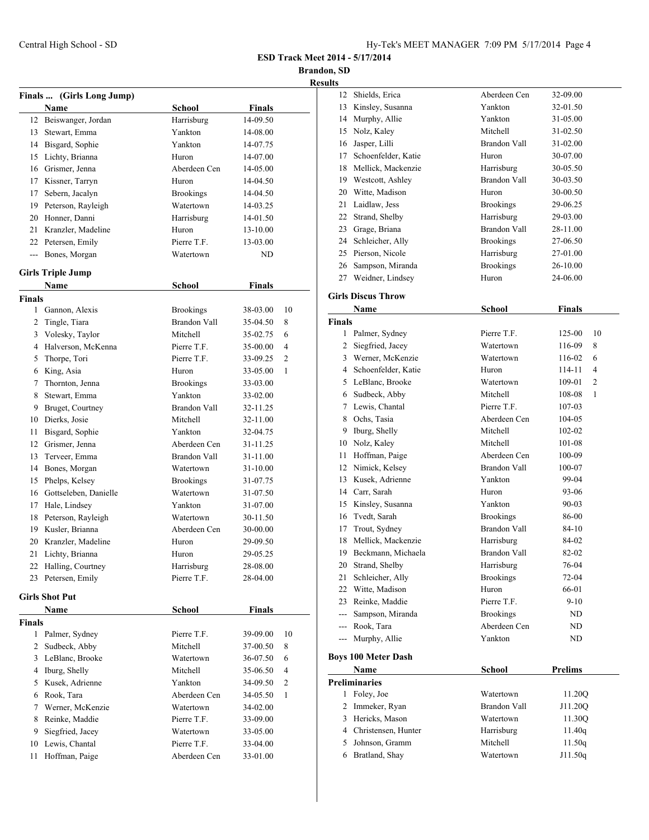**Brandon, SD**

|                    |                                  |                          |                      | Kθ             |
|--------------------|----------------------------------|--------------------------|----------------------|----------------|
|                    | Finals  (Girls Long Jump)        |                          |                      |                |
|                    | Name                             | <b>School</b>            | <b>Finals</b>        |                |
| 12                 | Beiswanger, Jordan               | Harrisburg               | 14-09.50             |                |
| 13                 | Stewart, Emma                    | Yankton                  | 14-08.00             |                |
|                    | 14 Bisgard, Sophie               | Yankton                  | 14-07.75             |                |
|                    | 15 Lichty, Brianna               | Huron                    | 14-07.00             |                |
|                    | 16 Grismer, Jenna                | Aberdeen Cen             | 14-05.00             |                |
|                    | 17 Kissner, Tarryn               | Huron                    | 14-04.50             |                |
| 17                 | Sebern, Jacalyn                  | <b>Brookings</b>         | 14-04.50             |                |
|                    | 19 Peterson, Rayleigh            | Watertown                | 14-03.25             |                |
| 20                 | Honner, Danni                    | Harrisburg               | 14-01.50             |                |
| 21                 | Kranzler, Madeline               | Huron                    | 13-10.00             |                |
|                    | 22 Petersen, Emily               | Pierre T.F.              | 13-03.00             |                |
|                    | --- Bones, Morgan                | Watertown                | ND                   |                |
|                    | <b>Girls Triple Jump</b>         |                          |                      |                |
|                    | Name                             | <b>School</b>            | Finals               |                |
| <b>Finals</b>      |                                  |                          |                      |                |
|                    | 1 Gannon, Alexis                 | <b>Brookings</b>         | 38-03.00             | 10             |
|                    | 2 Tingle, Tiara                  | <b>Brandon Vall</b>      | 35-04.50             | 8              |
|                    | 3 Volesky, Taylor                | Mitchell                 | 35-02.75             | 6              |
| $\overline{4}$     | Halverson, McKenna               | Pierre T.F.              | 35-00.00             | $\overline{4}$ |
| 5                  | Thorpe, Tori                     | Pierre T.F.              | 33-09.25             | 2              |
| 6                  | King, Asia                       | Huron                    | 33-05.00             | 1              |
| 7                  | Thornton, Jenna                  | <b>Brookings</b>         | 33-03.00             |                |
| 8                  | Stewart, Emma                    | Yankton                  | 33-02.00             |                |
| 9                  | Bruget, Courtney                 | <b>Brandon Vall</b>      | 32-11.25             |                |
| 10                 | Dierks, Josie                    | Mitchell                 | 32-11.00             |                |
| 11                 | Bisgard, Sophie                  | Yankton                  | 32-04.75             |                |
|                    | 12 Grismer, Jenna                | Aberdeen Cen             | 31-11.25             |                |
| 13                 | Terveer, Emma                    | <b>Brandon Vall</b>      | 31-11.00             |                |
| 14                 | Bones, Morgan                    | Watertown                | 31-10.00             |                |
| 15                 | Phelps, Kelsey                   | <b>Brookings</b>         | 31-07.75             |                |
|                    | 16 Gottseleben, Danielle         | Watertown                | 31-07.50             |                |
|                    | 17 Hale, Lindsey                 | Yankton                  | 31-07.00             |                |
| 18                 | Peterson, Rayleigh               | Watertown                | 30-11.50             |                |
|                    | 19 Kusler, Brianna               | Aberdeen Cen             | 30-00.00             |                |
|                    | 20 Kranzler, Madeline            | Huron                    | 29-09.50             |                |
| 21                 | Lichty, Brianna                  | Huron                    | 29-05.25             |                |
| 22                 | Halling, Courtney                | Harrisburg               | 28-08.00             |                |
| 23                 | Petersen, Emily                  | Pierre T.F.              | 28-04.00             |                |
|                    |                                  |                          |                      |                |
|                    | <b>Girls Shot Put</b>            |                          |                      |                |
|                    | Name                             | School                   | <b>Finals</b>        |                |
| <b>Finals</b><br>1 | Palmer, Sydney                   | Pierre T.F.              | 39-09.00             | 10             |
| 2                  | Sudbeck, Abby                    | Mitchell                 | 37-00.50             | 8              |
| 3                  | LeBlanc, Brooke                  | Watertown                | 36-07.50             | 6              |
| 4                  | Iburg, Shelly                    | Mitchell                 | 35-06.50             | 4              |
| 5                  | Kusek, Adrienne                  | Yankton                  |                      | 2              |
| 6                  | Rook, Tara                       | Aberdeen Cen             | 34-09.50             | 1              |
|                    |                                  |                          | 34-05.50             |                |
| 7                  | Werner, McKenzie                 | Watertown                | 34-02.00             |                |
| 8                  | Reinke, Maddie                   | Pierre T.F.              | 33-09.00             |                |
| 9<br>10            | Siegfried, Jacey                 | Watertown<br>Pierre T.F. | 33-05.00             |                |
| 11                 | Lewis, Chantal<br>Hoffman, Paige | Aberdeen Cen             | 33-04.00<br>33-01.00 |                |
|                    |                                  |                          |                      |                |
|                    |                                  |                          |                      |                |

| 12             | Shields, Erica             | Aberdeen Cen        | 32-09.00       |
|----------------|----------------------------|---------------------|----------------|
| 13             | Kinsley, Susanna           | Yankton             | 32-01.50       |
|                | 14 Murphy, Allie           | Yankton             | 31-05.00       |
| 15             | Nolz, Kaley                | Mitchell            | 31-02.50       |
|                | 16 Jasper, Lilli           | <b>Brandon Vall</b> | 31-02.00       |
|                | 17 Schoenfelder, Katie     | Huron               | 30-07.00       |
| 18             | Mellick, Mackenzie         | Harrisburg          | 30-05.50       |
|                | 19 Westcott, Ashley        | Brandon Vall        | 30-03.50       |
|                | 20 Witte, Madison          | Huron               | 30-00.50       |
| 21             | Laidlaw, Jess              | <b>Brookings</b>    | 29-06.25       |
|                | 22 Strand, Shelby          | Harrisburg          | 29-03.00       |
|                | 23 Grage, Briana           | <b>Brandon Vall</b> | 28-11.00       |
|                | 24 Schleicher, Ally        | <b>Brookings</b>    | 27-06.50       |
|                | 25 Pierson, Nicole         | Harrisburg          | 27-01.00       |
|                | 26 Sampson, Miranda        | <b>Brookings</b>    | 26-10.00       |
| 27             | Weidner, Lindsey           | Huron               | 24-06.00       |
|                |                            |                     |                |
|                | <b>Girls Discus Throw</b>  |                     |                |
|                | Name                       | <b>School</b>       | <b>Finals</b>  |
| <b>Finals</b>  |                            |                     |                |
| 1              | Palmer, Sydney             | Pierre T.F.         | 125-00<br>10   |
| $\overline{2}$ | Siegfried, Jacey           | Watertown           | 116-09<br>8    |
| 3              | Werner, McKenzie           | Watertown           | 116-02<br>6    |
|                | 4 Schoenfelder, Katie      | Huron               | 114-11<br>4    |
|                | 5 LeBlanc, Brooke          | Watertown           | 2<br>109-01    |
| 6              | Sudbeck, Abby              | Mitchell            | 1<br>108-08    |
| 7              | Lewis, Chantal             | Pierre T.F.         | 107-03         |
| 8              | Ochs, Tasia                | Aberdeen Cen        | 104-05         |
| 9              | Iburg, Shelly              | Mitchell            | 102-02         |
| 10             | Nolz, Kaley                | Mitchell            | 101-08         |
| 11             | Hoffman, Paige             | Aberdeen Cen        | 100-09         |
| 12             | Nimick, Kelsey             | <b>Brandon Vall</b> | 100-07         |
| 13             | Kusek, Adrienne            | Yankton             | 99-04          |
|                | 14 Carr, Sarah             | Huron               | 93-06          |
| 15             | Kinsley, Susanna           | Yankton             | $90 - 03$      |
|                | 16 Tvedt, Sarah            | <b>Brookings</b>    | 86-00          |
| 17             | Trout, Sydney              | <b>Brandon Vall</b> | 84-10          |
| 18             | Mellick, Mackenzie         | Harrisburg          | 84-02          |
|                | 19 Beckmann, Michaela      | <b>Brandon Vall</b> | 82-02          |
|                | 20 Strand, Shelby          | Harrisburg          | 76-04          |
| 21             | Schleicher, Ally           | <b>Brookings</b>    | 72-04          |
|                | 22 Witte, Madison          | Huron               | 66-01          |
|                | 23 Reinke, Maddie          | Pierre T.F.         | $9 - 10$       |
|                | --- Sampson, Miranda       | <b>Brookings</b>    | ND             |
|                | --- Rook, Tara             | Aberdeen Cen        | ND             |
|                | --- Murphy, Allie          | Yankton             | ND             |
|                | <b>Boys 100 Meter Dash</b> |                     |                |
|                | Name                       | <b>School</b>       | <b>Prelims</b> |
|                | <b>Preliminaries</b>       |                     |                |
| 1              | Foley, Joe                 | Watertown           | 11.20Q         |
| 2              | Immeker, Ryan              | Brandon Vall        | J11.20Q        |
| 3              | Hericks, Mason             | Watertown           | 11.30Q         |
|                | 4 Christensen, Hunter      | Harrisburg          | 11.40q         |
|                | 5 Johnson, Gramm           | Mitchell            | 11.50q         |
|                | 6 Bratland, Shay           | Watertown           | J11.50q        |
|                |                            |                     |                |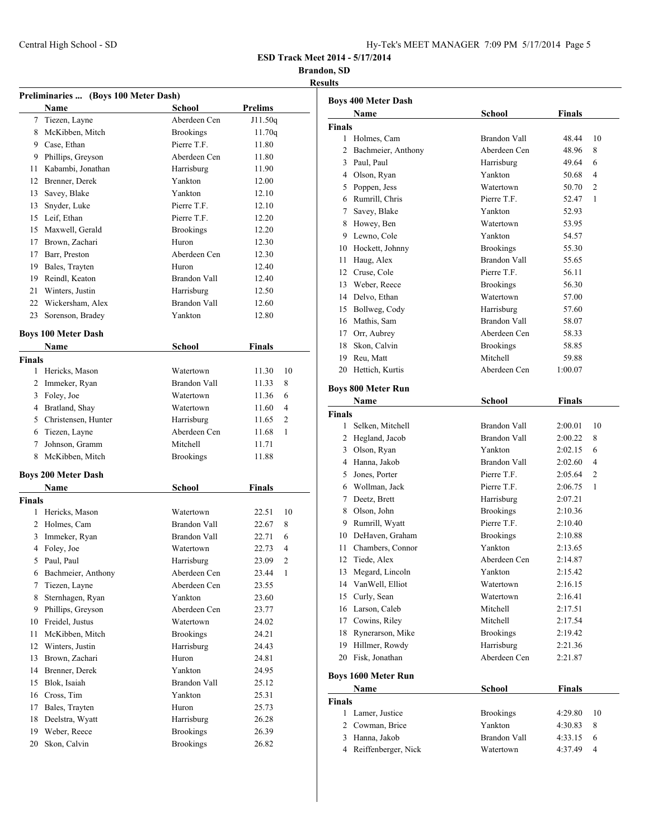| Hy-Tek's MEET MANAGER 7:09 PM 5/17/2014 Page 5 |  |  |  |
|------------------------------------------------|--|--|--|
|------------------------------------------------|--|--|--|

### **Brandon, SD**

| Preliminaries  (Boys 100 Meter Dash) |                            |                     |                |                |
|--------------------------------------|----------------------------|---------------------|----------------|----------------|
|                                      | Name                       | School              | <b>Prelims</b> |                |
| $7^{\circ}$                          | Tiezen, Layne              | Aberdeen Cen        | J11.50q        |                |
| 8                                    | McKibben, Mitch            | <b>Brookings</b>    | 11.70q         |                |
|                                      | 9 Case, Ethan              | Pierre T.F.         | 11.80          |                |
|                                      | 9 Phillips, Greyson        | Aberdeen Cen        | 11.80          |                |
| 11                                   | Kabambi, Jonathan          | Harrisburg          | 11.90          |                |
| 12                                   | Brenner, Derek             | Yankton             | 12.00          |                |
| 13                                   | Savey, Blake               | Yankton             | 12.10          |                |
| 13                                   | Snyder, Luke               | Pierre T.F.         | 12.10          |                |
| 15                                   | Leif, Ethan                | Pierre T.F.         | 12.20          |                |
| 15                                   | Maxwell, Gerald            | <b>Brookings</b>    | 12.20          |                |
|                                      | 17 Brown, Zachari          | Huron               | 12.30          |                |
|                                      | 17 Barr, Preston           | Aberdeen Cen        | 12.30          |                |
|                                      | 19 Bales, Trayten          | Huron               | 12.40          |                |
|                                      | 19 Reindl, Keaton          | <b>Brandon Vall</b> | 12.40          |                |
|                                      | 21 Winters, Justin         | Harrisburg          | 12.50          |                |
|                                      | 22 Wickersham, Alex        | <b>Brandon Vall</b> | 12.60          |                |
| 23                                   | Sorenson, Bradey           | Yankton             | 12.80          |                |
|                                      | <b>Boys 100 Meter Dash</b> |                     |                |                |
|                                      | Name                       | School              | <b>Finals</b>  |                |
| <b>Finals</b>                        |                            |                     |                |                |
| 1                                    | Hericks, Mason             | Watertown           | 11.30          | 10             |
|                                      | 2 Immeker, Ryan            | Brandon Vall        | 11.33          | 8              |
| 3                                    | Foley, Joe                 | Watertown           | 11.36          | 6              |
|                                      | 4 Bratland, Shay           | Watertown           | 11.60          | 4              |
|                                      | 5 Christensen, Hunter      | Harrisburg          | 11.65          | 2              |
|                                      | 6 Tiezen, Layne            | Aberdeen Cen        | 11.68          | 1              |
|                                      | 7 Johnson, Gramm           | Mitchell            | 11.71          |                |
| 8                                    | McKibben, Mitch            | <b>Brookings</b>    | 11.88          |                |
|                                      | <b>Boys 200 Meter Dash</b> |                     |                |                |
|                                      | Name                       | School              | <b>Finals</b>  |                |
| Finals                               |                            |                     |                |                |
| 1                                    | Hericks, Mason             | Watertown           | 22.51          | 10             |
|                                      | 2 Holmes, Cam              | <b>Brandon Vall</b> | 22.67          | 8              |
| 3                                    | Immeker, Ryan              | Brandon Vall        | 22.71          | 6              |
| 4                                    | Foley, Joe                 | Watertown           | 22.73          | $\overline{4}$ |
|                                      | 5 Paul, Paul               | Harrisburg          | 23.09          | $\overline{c}$ |
| 6                                    | Bachmeier, Anthony         | Aberdeen Cen        | 23.44          | 1              |
| 7                                    | Tiezen, Layne              | Aberdeen Cen        | 23.55          |                |
| 8                                    | Sternhagen, Ryan           | Yankton             | 23.60          |                |
| 9                                    | Phillips, Greyson          | Aberdeen Cen        | 23.77          |                |
| 10                                   | Freidel, Justus            | Watertown           | 24.02          |                |
| 11                                   | McKibben, Mitch            | <b>Brookings</b>    | 24.21          |                |
| 12                                   | Winters, Justin            | Harrisburg          | 24.43          |                |
| 13                                   | Brown, Zachari             | Huron               | 24.81          |                |
| 14                                   | Brenner, Derek             | Yankton             | 24.95          |                |
| 15                                   | Blok, Isaiah               | Brandon Vall        | 25.12          |                |
| 16                                   | Cross, Tim                 | Yankton             | 25.31          |                |
| 17                                   | Bales, Trayten             | Huron               | 25.73          |                |
| 18                                   | Deelstra, Wyatt            | Harrisburg          | 26.28          |                |
| 19                                   | Weber, Reece               | <b>Brookings</b>    | 26.39          |                |
| 20                                   | Skon, Calvin               | <b>Brookings</b>    | 26.82          |                |

|               | <b>Boys 400 Meter Dash</b> |                     |               |                |
|---------------|----------------------------|---------------------|---------------|----------------|
|               | Name                       | School              | <b>Finals</b> |                |
| <b>Finals</b> |                            |                     |               |                |
|               | 1 Holmes, Cam              | Brandon Vall        | 48.44         | 10             |
|               | 2 Bachmeier, Anthony       | Aberdeen Cen        | 48.96         | 8              |
|               | 3 Paul, Paul               | Harrisburg          | 49.64         | 6              |
|               | 4 Olson, Ryan              | Yankton             | 50.68         | 4              |
|               | 5 Poppen, Jess             | Watertown           | 50.70         | $\overline{c}$ |
|               | 6 Rumrill, Chris           | Pierre T.F.         | 52.47         | 1              |
| 7             | Savey, Blake               | Yankton             | 52.93         |                |
|               | 8 Howey, Ben               | Watertown           | 53.95         |                |
|               | 9 Lewno, Cole              | Yankton             | 54.57         |                |
|               | 10 Hockett, Johnny         | <b>Brookings</b>    | 55.30         |                |
|               | 11 Haug, Alex              | Brandon Vall        | 55.65         |                |
|               | 12 Cruse, Cole             | Pierre T.F.         | 56.11         |                |
|               | 13 Weber, Reece            | <b>Brookings</b>    | 56.30         |                |
|               | 14 Delvo, Ethan            | Watertown           | 57.00         |                |
|               | 15 Bollweg, Cody           | Harrisburg          | 57.60         |                |
|               | 16 Mathis, Sam             | <b>Brandon Vall</b> | 58.07         |                |
| 17            | Orr, Aubrey                | Aberdeen Cen        | 58.33         |                |
| 18            | Skon, Calvin               | <b>Brookings</b>    | 58.85         |                |
|               | 19 Reu, Matt               | Mitchell            | 59.88         |                |
|               | 20 Hettich, Kurtis         | Aberdeen Cen        | 1:00.07       |                |
|               |                            |                     |               |                |
|               | <b>Boys 800 Meter Run</b>  |                     |               |                |
|               | Name                       | <b>School</b>       | Finals        |                |
| <b>Finals</b> |                            |                     |               |                |
| 1             | Selken, Mitchell           | Brandon Vall        | 2:00.01       | 10             |
|               | 2 Hegland, Jacob           | Brandon Vall        | 2:00.22       | 8              |
|               | 3 Olson, Ryan              | Yankton             | 2:02.15       | 6              |
|               | 4 Hanna, Jakob             | Brandon Vall        | 2:02.60       | 4              |
| 5             | Jones, Porter              | Pierre T.F.         | 2:05.64       | 2              |
|               | 6 Wollman, Jack            | Pierre T.F.         | 2:06.75       | 1              |
|               | 7 Deetz, Brett             | Harrisburg          | 2:07.21       |                |
|               | 8 Olson, John              | <b>Brookings</b>    | 2:10.36       |                |
|               | 9 Rumrill, Wyatt           | Pierre T.F.         | 2:10.40       |                |
|               | 10 DeHaven, Graham         | <b>Brookings</b>    | 2:10.88       |                |
| 11            | Chambers, Connor           | Yankton             | 2:13.65       |                |
| 12            | Tiede, Alex                | Aberdeen Cen        | 2:14.87       |                |
|               | 13 Megard, Lincoln         | Yankton             | 2:15.42       |                |
|               | 14 VanWell, Elliot         | Watertown           | 2:16.15       |                |
| 15            | Curly, Sean                | Watertown           | 2:16.41       |                |
|               | 16 Larson, Caleb           | Mitchell            | 2:17.51       |                |
| 17            | Cowins, Riley              | Mitchell            | 2:17.54       |                |
| 18            | Rynerarson, Mike           | <b>Brookings</b>    | 2:19.42       |                |
| 19            | Hillmer, Rowdy             | Harrisburg          | 2:21.36       |                |
| 20            | Fisk, Jonathan             | Aberdeen Cen        | 2:21.87       |                |
|               | <b>Boys 1600 Meter Run</b> |                     |               |                |
|               | Name                       | <b>School</b>       | <b>Finals</b> |                |
|               |                            |                     |               |                |
| Finals<br>1   | Lamer, Justice             | <b>Brookings</b>    | 4:29.80       | 10             |
|               | 2 Cowman, Brice            | Yankton             |               |                |
|               |                            |                     | 4:30.83       | 8              |
|               | 3 Hanna, Jakob             | Brandon Vall        | 4:33.15       | 6              |
|               | 4 Reiffenberger, Nick      | Watertown           | 4:37.49       | $\overline{4}$ |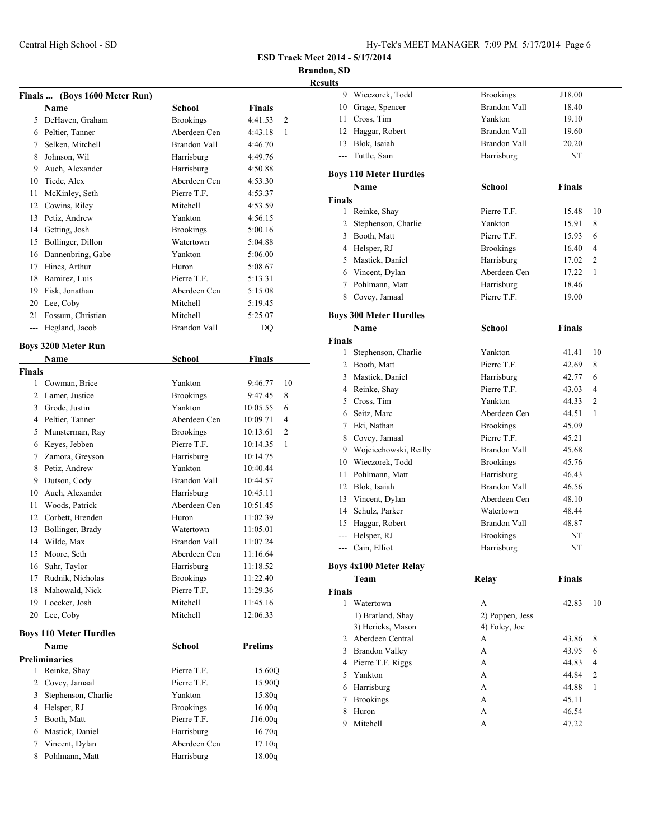**Brandon, SD**

**Resul** 

|                | Finals  (Boys 1600 Meter Run)         |                     |                            |
|----------------|---------------------------------------|---------------------|----------------------------|
|                | Name                                  | <b>School</b>       | <b>Finals</b>              |
| 5.             | DeHaven, Graham                       | <b>Brookings</b>    | 4:41.53<br>$\overline{2}$  |
|                | 6 Peltier, Tanner                     | Aberdeen Cen        | 4:43.18<br>1               |
|                | 7 Selken, Mitchell                    | <b>Brandon Vall</b> | 4:46.70                    |
| 8              | Johnson, Wil                          | Harrisburg          | 4:49.76                    |
|                | 9 Auch, Alexander                     | Harrisburg          | 4:50.88                    |
|                | 10 Tiede, Alex                        | Aberdeen Cen        | 4:53.30                    |
| 11             | McKinley, Seth                        | Pierre T.F.         | 4:53.37                    |
|                | 12 Cowins, Riley                      | Mitchell            | 4:53.59                    |
| 13             | Petiz. Andrew                         | Yankton             | 4:56.15                    |
|                | 14 Getting, Josh                      | <b>Brookings</b>    | 5:00.16                    |
| 15             | Bollinger, Dillon                     | Watertown           | 5:04.88                    |
|                | 16 Dannenbring, Gabe                  | Yankton             | 5:06.00                    |
|                | 17 Hines, Arthur                      | Huron               | 5:08.67                    |
|                | 18 Ramirez, Luis                      | Pierre T.F.         | 5:13.31                    |
|                | 19 Fisk, Jonathan                     | Aberdeen Cen        | 5:15.08                    |
|                | 20 Lee, Coby                          | Mitchell            | 5:19.45                    |
|                | 21 Fossum, Christian                  | Mitchell            | 5:25.07                    |
|                | --- Hegland, Jacob                    | Brandon Vall        | DQ                         |
|                | <b>Boys 3200 Meter Run</b>            |                     |                            |
|                | Name                                  | <b>School</b>       | <b>Finals</b>              |
| <b>Finals</b>  |                                       |                     |                            |
|                | 1 Cowman, Brice                       | Yankton             | 9:46.77<br>10              |
|                | 2 Lamer, Justice                      | <b>Brookings</b>    | 9:47.45<br>8               |
|                | 3 Grode, Justin                       | Yankton             | 10:05.55<br>6              |
|                | 4 Peltier, Tanner                     | Aberdeen Cen        | 10:09.71<br>4              |
|                | 5 Munsterman, Ray                     | <b>Brookings</b>    | $\overline{2}$<br>10:13.61 |
|                | 6 Keyes, Jebben                       | Pierre T.F.         | 10:14.35<br>1              |
|                | 7 Zamora, Greyson                     | Harrisburg          | 10:14.75                   |
| 8              | Petiz, Andrew                         | Yankton             | 10:40.44                   |
|                | 9 Dutson, Cody                        | <b>Brandon Vall</b> | 10:44.57                   |
|                | 10 Auch, Alexander                    | Harrisburg          | 10:45.11                   |
| 11             | Woods, Patrick                        | Aberdeen Cen        | 10:51.45                   |
|                | 12 Corbett, Brenden                   | Huron               | 11:02.39                   |
| 13             | Bollinger, Brady                      | Watertown           | 11:05.01                   |
| 14             | Wilde, Max                            | <b>Brandon Vall</b> | 11:07.24                   |
| 15             | Moore, Seth                           | Aberdeen Cen        | 11:16.64                   |
| 16             | Suhr, Taylor                          | Harrisburg          | 11:18.52                   |
| 17             | Rudnik, Nicholas                      | <b>Brookings</b>    | 11:22.40                   |
| 18             | Mahowald, Nick                        | Pierre T.F.         | 11:29.36                   |
| 19             | Loecker, Josh                         | Mitchell            | 11:45.16                   |
| 20             | Lee, Coby                             | Mitchell            | 12:06.33                   |
|                |                                       |                     |                            |
|                | <b>Boys 110 Meter Hurdles</b><br>Name | <b>School</b>       | <b>Prelims</b>             |
|                |                                       |                     |                            |
| 1              | <b>Preliminaries</b><br>Reinke, Shay  | Pierre T.F.         | 15.60Q                     |
| $\overline{2}$ |                                       | Pierre T.F.         |                            |
| 3              | Covey, Jamaal<br>Stephenson, Charlie  | Yankton             | 15.90Q<br>15.80q           |
| 4              | Helsper, RJ                           | <b>Brookings</b>    | 16.00q                     |
| 5              | Booth, Matt                           | Pierre T.F.         | J16.00q                    |
|                | 6 Mastick, Daniel                     | Harrisburg          | 16.70q                     |
| 7              | Vincent, Dylan                        | Aberdeen Cen        | 17.10q                     |
| 8              | Pohlmann, Matt                        | Harrisburg          | 18.00q                     |
|                |                                       |                     |                            |

| sults         |                               |                     |               |                |
|---------------|-------------------------------|---------------------|---------------|----------------|
|               | 9 Wieczorek, Todd             | <b>Brookings</b>    | J18.00        |                |
|               | 10 Grage, Spencer             | <b>Brandon Vall</b> | 18.40         |                |
|               | 11 Cross, Tim                 | Yankton             | 19.10         |                |
|               | 12 Haggar, Robert             | <b>Brandon Vall</b> | 19.60         |                |
|               | 13 Blok, Isaiah               | <b>Brandon Vall</b> | 20.20         |                |
|               | --- Tuttle, Sam               | Harrisburg          | NT            |                |
|               | <b>Boys 110 Meter Hurdles</b> |                     |               |                |
|               | Name                          | School              | <b>Finals</b> |                |
| <b>Finals</b> |                               |                     |               |                |
|               | 1 Reinke, Shay                | Pierre T.F.         | 15.48         | 10             |
|               | 2 Stephenson, Charlie         | Yankton             | 15.91         | 8              |
|               | 3 Booth, Matt                 | Pierre T.F.         | 15.93         | 6              |
|               | 4 Helsper, RJ                 | <b>Brookings</b>    | 16.40         | 4              |
|               | 5 Mastick, Daniel             | Harrisburg          | 17.02         | $\overline{2}$ |
|               | 6 Vincent, Dylan              | Aberdeen Cen        | 17.22         | 1              |
|               | 7 Pohlmann, Matt              | Harrisburg          | 18.46         |                |
|               | 8 Covey, Jamaal               | Pierre T.F.         | 19.00         |                |
|               | <b>Boys 300 Meter Hurdles</b> |                     |               |                |
|               | Name                          | School              | Finals        |                |
| <b>Finals</b> |                               |                     |               |                |
|               | 1 Stephenson, Charlie         | Yankton             | 41.41         | 10             |
|               | 2 Booth, Matt                 | Pierre T.F.         | 42.69         | 8              |
|               | 3 Mastick, Daniel             | Harrisburg          | 42.77         | 6              |
|               | 4 Reinke, Shay                | Pierre T.F.         | 43.03         | 4              |
|               | 5 Cross, Tim                  | Yankton             | 44.33         | 2              |
|               | 6 Seitz, Marc                 | Aberdeen Cen        | 44.51         | 1              |
|               | 7 Eki, Nathan                 | <b>Brookings</b>    | 45.09         |                |
|               | 8 Covey, Jamaal               | Pierre T.F.         | 45.21         |                |
|               | 9 Wojciechowski, Reilly       | <b>Brandon Vall</b> | 45.68         |                |
|               | 10 Wieczorek, Todd            | <b>Brookings</b>    | 45.76         |                |
|               | 11 Pohlmann, Matt             | Harrisburg          | 46.43         |                |
|               | 12 Blok, Isaiah               | <b>Brandon Vall</b> | 46.56         |                |
|               | 13 Vincent, Dylan             | Aberdeen Cen        | 48.10         |                |
|               | 14 Schulz, Parker             | Watertown           | 48.44         |                |
|               | 15 Haggar, Robert             | Brandon Vall        | 48.87         |                |
|               | --- Helsper, RJ               | <b>Brookings</b>    | NT            |                |
|               | --- Cain, Elliot              | Harrisburg          | NT            |                |
|               | <b>Boys 4x100 Meter Relay</b> |                     |               |                |
|               | Team                          | <b>Relay</b>        | Finals        |                |
| Finals        |                               |                     |               |                |
| $\mathbf{1}$  | Watertown                     | A                   | 42.83         | 10             |
|               | 1) Bratland, Shay             | 2) Poppen, Jess     |               |                |
|               | 3) Hericks, Mason             | 4) Foley, Joe       |               |                |
|               | 2 Aberdeen Central            | А                   | 43.86         | 8              |
|               | 3 Brandon Valley              | А                   | 43.95         | 6              |
|               | 4 Pierre T.F. Riggs           | А                   | 44.83         | 4              |
|               | 5 Yankton                     | A                   | 44.84         | $\overline{c}$ |
|               | 6 Harrisburg                  | А                   | 44.88         | 1              |
| 7             | <b>Brookings</b>              | А                   | 45.11         |                |
| 8             | Huron                         | А                   | 46.54         |                |
| 9             | Mitchell                      | A                   | 47.22         |                |
|               |                               |                     |               |                |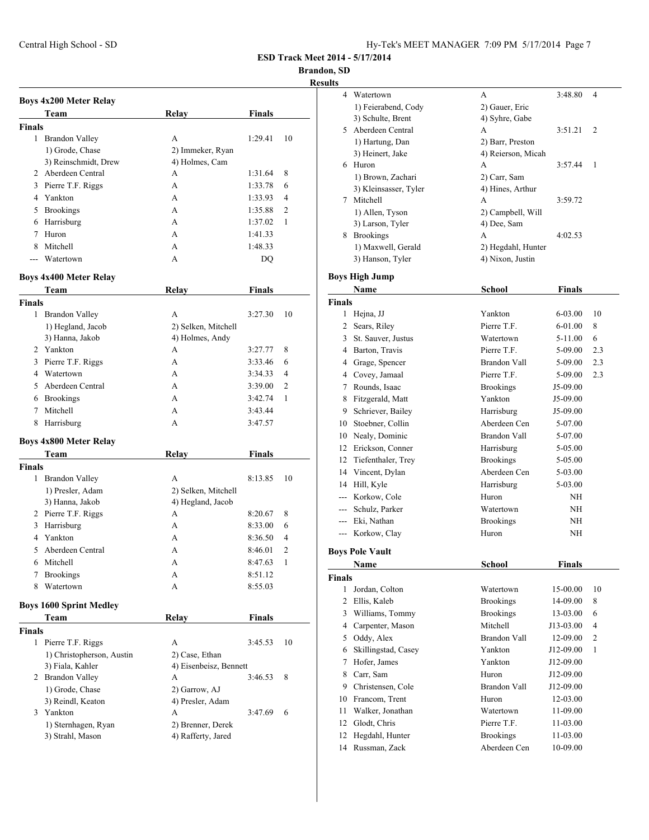**Brandon, SD**

|               | <b>Boys 4x200 Meter Relay</b>          |                        |               |    |
|---------------|----------------------------------------|------------------------|---------------|----|
|               | Team                                   | <b>Relay</b>           | <b>Finals</b> |    |
| <b>Finals</b> |                                        |                        |               |    |
|               | 1 Brandon Valley                       | A                      | 1:29.41       | 10 |
|               | 1) Grode, Chase                        | 2) Immeker, Ryan       |               |    |
|               | 3) Reinschmidt, Drew                   | 4) Holmes, Cam         |               |    |
|               | 2 Aberdeen Central                     | A                      | 1:31.64       | 8  |
|               | 3 Pierre T.F. Riggs                    | А                      | 1:33.78       | 6  |
|               | 4 Yankton                              | А                      | 1:33.93       | 4  |
|               | 5 Brookings                            | A                      | 1:35.88       | 2  |
|               | 6 Harrisburg                           | A                      | 1:37.02       | 1  |
| 7             | Huron                                  | A                      | 1:41.33       |    |
| 8             | Mitchell                               | A                      | 1:48.33       |    |
| $- - -$       | Watertown                              | A                      | DQ            |    |
|               | <b>Boys 4x400 Meter Relay</b>          |                        |               |    |
|               | Team                                   | <b>Relay</b>           | <b>Finals</b> |    |
| <b>Finals</b> |                                        |                        |               |    |
| 1             | <b>Brandon Valley</b>                  | A                      | 3:27.30       | 10 |
|               | 1) Hegland, Jacob                      | 2) Selken, Mitchell    |               |    |
|               | 3) Hanna, Jakob                        | 4) Holmes, Andy        |               |    |
|               | 2 Yankton                              | A                      | 3:27.77       | 8  |
| 3             | Pierre T.F. Riggs                      | A                      | 3:33.46       | 6  |
|               | 4 Watertown                            | A                      | 3:34.33       | 4  |
| 5             | Aberdeen Central                       | A                      | 3:39.00       | 2  |
|               | 6 Brookings                            | А                      | 3:42.74       | 1  |
| 7             | Mitchell                               | A                      | 3:43.44       |    |
| 8             | Harrisburg                             | A                      | 3:47.57       |    |
|               | <b>Boys 4x800 Meter Relay</b>          |                        |               |    |
|               | Team                                   | Relay                  | <b>Finals</b> |    |
| <b>Finals</b> |                                        |                        |               |    |
| 1             | <b>Brandon Valley</b>                  | A                      | 8:13.85       | 10 |
|               | 1) Presler, Adam                       | 2) Selken, Mitchell    |               |    |
|               | 3) Hanna, Jakob                        | 4) Hegland, Jacob      |               |    |
|               | 2 Pierre T.F. Riggs                    | А                      | 8:20.67       | 8  |
| 3             | Harrisburg                             | А                      | 8:33.00       | 6  |
| 4             | Yankton                                | A                      | 8:36.50       | 4  |
| 5             | Aberdeen Central                       | A                      | 8:46.01       | 2  |
| 6             | Mitchell                               | A                      | 8:47.63       | 1  |
| 7             | <b>Brookings</b>                       | А                      | 8:51.12       |    |
| 8             | Watertown                              | A                      | 8:55.03       |    |
|               |                                        |                        |               |    |
|               | <b>Boys 1600 Sprint Medley</b><br>Team | Relay                  | <b>Finals</b> |    |
| <b>Finals</b> |                                        |                        |               |    |
|               | 1 Pierre T.F. Riggs                    | A                      | 3:45.53       | 10 |
|               | 1) Christopherson, Austin              | 2) Case, Ethan         |               |    |
|               | 3) Fiala, Kahler                       | 4) Eisenbeisz, Bennett |               |    |
|               | 2 Brandon Valley                       | А                      | 3:46.53       | 8  |
|               | 1) Grode, Chase                        | 2) Garrow, AJ          |               |    |
|               | 3) Reindl, Keaton                      | 4) Presler, Adam       |               |    |
|               | 3 Yankton                              | А                      | 3:47.69       | 6  |
|               | 1) Sternhagen, Ryan                    | 2) Brenner, Derek      |               |    |
|               | 3) Strahl, Mason                       | 4) Rafferty, Jared     |               |    |
|               |                                        |                        |               |    |
|               |                                        |                        |               |    |

| ults          |                        |                     |               |     |
|---------------|------------------------|---------------------|---------------|-----|
| 4             | Watertown              | А                   | 3:48.80       | 4   |
|               | 1) Feierabend, Cody    | 2) Gauer, Eric      |               |     |
|               | 3) Schulte, Brent      | 4) Syhre, Gabe      |               |     |
| 5.            | Aberdeen Central       | A                   | 3:51.21       | 2   |
|               | 1) Hartung, Dan        | 2) Barr, Preston    |               |     |
|               | 3) Heinert, Jake       | 4) Reierson, Micah  |               |     |
|               | 6 Huron                | A                   | 3:57.44       | 1   |
|               | 1) Brown, Zachari      | 2) Carr, Sam        |               |     |
|               | 3) Kleinsasser, Tyler  | 4) Hines, Arthur    |               |     |
|               | 7 Mitchell             | A                   | 3:59.72       |     |
|               | 1) Allen, Tyson        | 2) Campbell, Will   |               |     |
|               | 3) Larson, Tyler       | 4) Dee, Sam         |               |     |
|               | 8 Brookings            | A                   | 4:02.53       |     |
|               | 1) Maxwell, Gerald     | 2) Hegdahl, Hunter  |               |     |
|               | 3) Hanson, Tyler       | 4) Nixon, Justin    |               |     |
|               |                        |                     |               |     |
|               | <b>Boys High Jump</b>  |                     |               |     |
|               | Name                   | <b>School</b>       | <b>Finals</b> |     |
| <b>Finals</b> |                        |                     |               |     |
| 1             | Hejna, JJ              | Yankton             | 6-03.00       | 10  |
|               | 2 Sears, Riley         | Pierre T.F.         | 6-01.00       | 8   |
|               | 3 St. Sauver, Justus   | Watertown           | 5-11.00       | 6   |
|               | 4 Barton, Travis       | Pierre T.F.         | 5-09.00       | 2.3 |
|               | 4 Grage, Spencer       | <b>Brandon Vall</b> | 5-09.00       | 2.3 |
|               | 4 Covey, Jamaal        | Pierre T.F.         | 5-09.00       | 2.3 |
|               | 7 Rounds, Isaac        | <b>Brookings</b>    | J5-09.00      |     |
|               | 8 Fitzgerald, Matt     | Yankton             | J5-09.00      |     |
|               | 9 Schriever, Bailey    | Harrisburg          | J5-09.00      |     |
|               | 10 Stoebner, Collin    | Aberdeen Cen        | 5-07.00       |     |
|               | 10 Nealy, Dominic      | <b>Brandon Vall</b> | 5-07.00       |     |
|               | 12 Erickson, Conner    | Harrisburg          | 5-05.00       |     |
|               | 12 Tiefenthaler, Trey  | <b>Brookings</b>    | 5-05.00       |     |
| 14            | Vincent, Dylan         | Aberdeen Cen        | 5-03.00       |     |
| 14            | Hill, Kyle             | Harrisburg          | 5-03.00       |     |
|               | --- Korkow, Cole       | Huron               | NH            |     |
|               | --- Schulz, Parker     | Watertown           | NH            |     |
|               | --- Eki, Nathan        | <b>Brookings</b>    | NH            |     |
| ---           | Korkow, Clay           | Huron               | NH            |     |
|               |                        |                     |               |     |
|               | <b>Boys Pole Vault</b> |                     |               |     |
|               | Name                   | School              | <b>Finals</b> |     |
| <b>Finals</b> |                        |                     |               |     |
| 1             | Jordan, Colton         | Watertown           | 15-00.00      | 10  |
| 2             | Ellis, Kaleb           | <b>Brookings</b>    | 14-09.00      | 8   |
| 3             | Williams, Tommy        | <b>Brookings</b>    | 13-03.00      | 6   |
| 4             | Carpenter, Mason       | Mitchell            | J13-03.00     | 4   |
| 5             | Oddy, Alex             | <b>Brandon Vall</b> | 12-09.00      | 2   |
| 6             | Skillingstad, Casey    | Yankton             | J12-09.00     | 1   |
| 7             | Hofer, James           | Yankton             | J12-09.00     |     |
| 8             | Carr, Sam              | Huron               | J12-09.00     |     |
| 9.            | Christensen, Cole      | <b>Brandon Vall</b> | J12-09.00     |     |
|               | 10 Francom, Trent      | Huron               | 12-03.00      |     |
| 11            | Walker, Jonathan       | Watertown           | 11-09.00      |     |
| 12            |                        |                     |               |     |
|               | Glodt, Chris           | Pierre T.F.         | 11-03.00      |     |
| 12            | Hegdahl, Hunter        | <b>Brookings</b>    | 11-03.00      |     |
| 14            | Russman, Zack          | Aberdeen Cen        | 10-09.00      |     |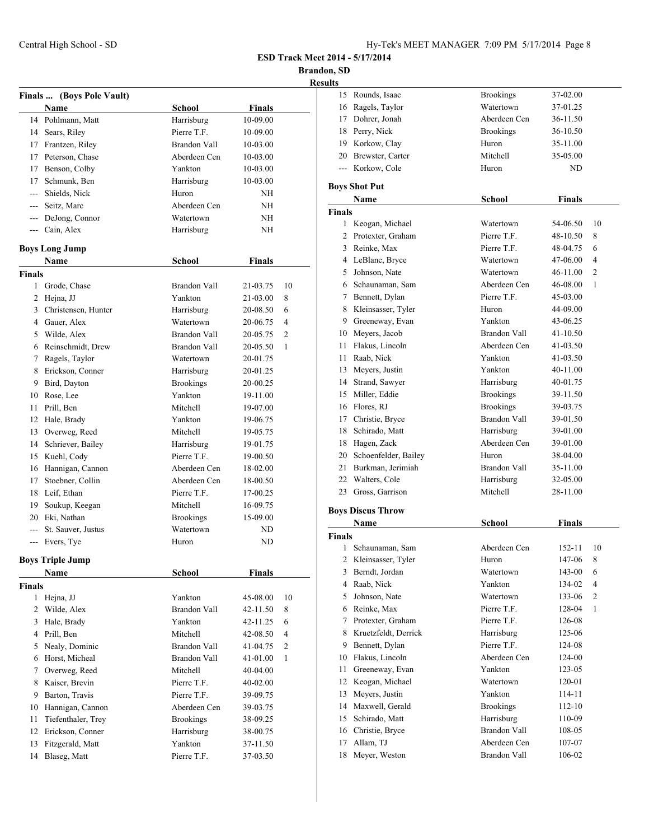**Brandon, SD**

| <b>Results</b> |
|----------------|
|----------------|

|                    |                                    |                             |                      | ŀ                   |
|--------------------|------------------------------------|-----------------------------|----------------------|---------------------|
|                    | Finals  (Boys Pole Vault)          |                             |                      |                     |
|                    | <b>Name</b>                        | School                      | Finals               |                     |
|                    | 14 Pohlmann, Matt                  | Harrisburg                  | 10-09.00             |                     |
|                    | 14 Sears, Riley                    | Pierre T.F.                 | 10-09.00             |                     |
|                    | 17 Frantzen, Riley                 | Brandon Vall                | 10-03.00             |                     |
|                    | 17 Peterson, Chase                 | Aberdeen Cen                | 10-03.00             |                     |
|                    | 17 Benson, Colby                   | Yankton                     | 10-03.00             |                     |
| 17                 | Schmunk, Ben                       | Harrisburg                  | 10-03.00             |                     |
|                    | --- Shields, Nick                  | Huron                       | <b>NH</b>            |                     |
|                    | --- Seitz, Marc                    | Aberdeen Cen                | NH                   |                     |
|                    | --- DeJong, Connor                 | Watertown                   | NH                   |                     |
|                    | --- Cain, Alex                     | Harrisburg                  | NH                   |                     |
|                    | <b>Boys Long Jump</b>              |                             |                      |                     |
|                    |                                    | <b>School</b>               |                      |                     |
|                    | Name                               |                             | <b>Finals</b>        |                     |
| <b>Finals</b><br>1 |                                    | Brandon Vall                |                      | 10                  |
|                    | Grode, Chase                       | Yankton                     | 21-03.75<br>21-03.00 |                     |
|                    | 2 Hejna, JJ                        |                             |                      | 8                   |
|                    | 3 Christensen, Hunter              | Harrisburg<br>Watertown     | 20-08.50             | 6<br>$\overline{4}$ |
|                    | 4 Gauer, Alex<br>5 Wilde, Alex     | <b>Brandon Vall</b>         | 20-06.75             |                     |
|                    |                                    |                             | 20-05.75             | $\overline{2}$      |
|                    | 6 Reinschmidt, Drew                | <b>Brandon Vall</b>         | 20-05.50             | 1                   |
|                    | 7 Ragels, Taylor                   | Watertown                   | 20-01.75             |                     |
| 8                  | Erickson, Conner                   | Harrisburg                  | 20-01.25             |                     |
| 9.                 | Bird, Dayton                       | <b>Brookings</b><br>Yankton | 20-00.25             |                     |
| 11                 | 10 Rose, Lee<br>Prill, Ben         | Mitchell                    | 19-11.00             |                     |
| 12                 |                                    |                             | 19-07.00             |                     |
|                    | Hale, Brady                        | Yankton<br>Mitchell         | 19-06.75             |                     |
| 14                 | 13 Overweg, Reed                   | Harrisburg                  | 19-05.75             |                     |
| 15                 | Schriever, Bailey                  | Pierre T.F.                 | 19-01.75             |                     |
|                    | Kuehl, Cody<br>16 Hannigan, Cannon | Aberdeen Cen                | 19-00.50<br>18-02.00 |                     |
| 17                 | Stoebner, Collin                   | Aberdeen Cen                | 18-00.50             |                     |
|                    | 18 Leif, Ethan                     | Pierre T.F.                 | 17-00.25             |                     |
|                    | 19 Soukup, Keegan                  | Mitchell                    | 16-09.75             |                     |
|                    | 20 Eki, Nathan                     | <b>Brookings</b>            | 15-09.00             |                     |
|                    | --- St. Sauver, Justus             | Watertown                   | ND                   |                     |
|                    | --- Evers, Tye                     | Huron                       | ND                   |                     |
|                    |                                    |                             |                      |                     |
|                    | <b>Boys Triple Jump</b>            |                             |                      |                     |
|                    | Name                               | School                      | Finals               |                     |
| <b>Finals</b>      |                                    |                             |                      |                     |
| 1                  | Hejna, JJ                          | Yankton                     | 45-08.00             | 10                  |
| 2                  | Wilde, Alex                        | Brandon Vall                | 42-11.50             | 8                   |
| 3                  | Hale, Brady                        | Yankton                     | 42-11.25             | 6                   |
|                    | 4 Prill, Ben                       | Mitchell                    | 42-08.50             | $\overline{4}$      |
| 5                  | Nealy, Dominic                     | Brandon Vall                | 41-04.75             | 2                   |
| 6                  | Horst, Micheal                     | Brandon Vall                | 41-01.00             | 1                   |
| 7                  | Overweg, Reed                      | Mitchell                    | 40-04.00             |                     |
| 8                  | Kaiser, Brevin                     | Pierre T.F.                 | 40-02.00             |                     |
| 9                  | Barton, Travis                     | Pierre T.F.                 | 39-09.75             |                     |
| 10                 | Hannigan, Cannon                   | Aberdeen Cen                | 39-03.75             |                     |
| 11                 | Tiefenthaler, Trey                 | <b>Brookings</b>            | 38-09.25             |                     |
| 12                 | Erickson, Conner                   | Harrisburg                  | 38-00.75             |                     |
| 13                 | Fitzgerald, Matt                   | Yankton                     | 37-11.50             |                     |
| 14                 | Blaseg, Matt                       | Pierre T.F.                 | 37-03.50             |                     |

| 15             | Rounds, Isaac                                | <b>Brookings</b>                  | 37-02.00         |                |
|----------------|----------------------------------------------|-----------------------------------|------------------|----------------|
|                | 16 Ragels, Taylor                            | Watertown                         | 37-01.25         |                |
|                | 17 Dohrer, Jonah                             | Aberdeen Cen                      | 36-11.50         |                |
|                | 18 Perry, Nick                               | <b>Brookings</b>                  | 36-10.50         |                |
|                | 19 Korkow, Clay                              | Huron                             | 35-11.00         |                |
|                | 20 Brewster, Carter                          | Mitchell                          | 35-05.00         |                |
|                | --- Korkow, Cole                             | Huron                             | ND.              |                |
|                | <b>Boys Shot Put</b>                         |                                   |                  |                |
|                | Name                                         | <b>School</b>                     | <b>Finals</b>    |                |
| <b>Finals</b>  |                                              |                                   |                  |                |
| 1              | Keogan, Michael                              | Watertown                         | 54-06.50         | 10             |
| 2              | Protexter, Graham                            | Pierre T.F.                       | 48-10.50         | 8              |
| 3              | Reinke, Max                                  | Pierre T.F.                       | 48-04.75         | 6              |
|                | 4 LeBlanc, Bryce                             | Watertown                         | 47-06.00         | 4              |
|                | 5 Johnson, Nate                              | Watertown                         | 46-11.00         | $\overline{2}$ |
|                | 6 Schaunaman, Sam                            | Aberdeen Cen                      | 46-08.00         | 1              |
|                | 7 Bennett, Dylan                             | Pierre T.F.                       | 45-03.00         |                |
|                | 8 Kleinsasser, Tyler                         | Huron                             | 44-09.00         |                |
|                | 9 Greeneway, Evan                            | Yankton                           | 43-06.25         |                |
|                | 10 Meyers, Jacob                             | <b>Brandon Vall</b>               | 41-10.50         |                |
| 11             | Flakus, Lincoln                              | Aberdeen Cen                      | 41-03.50         |                |
|                | 11 Raab, Nick                                | Yankton                           | 41-03.50         |                |
|                | 13 Meyers, Justin                            | Yankton                           | 40-11.00         |                |
|                | 14 Strand, Sawyer                            | Harrisburg                        | 40-01.75         |                |
|                | 15 Miller, Eddie                             | <b>Brookings</b>                  | 39-11.50         |                |
|                | 16 Flores, RJ                                | <b>Brookings</b>                  | 39-03.75         |                |
|                | 17 Christie, Bryce                           | <b>Brandon Vall</b>               | 39-01.50         |                |
| 18             | Schirado, Matt                               | Harrisburg                        | 39-01.00         |                |
| 18             | Hagen, Zack                                  | Aberdeen Cen                      | 39-01.00         |                |
|                |                                              |                                   |                  |                |
|                |                                              | Huron                             | 38-04.00         |                |
| 21             | 20 Schoenfelder, Bailey<br>Burkman, Jerimiah | Brandon Vall                      | 35-11.00         |                |
| 22             |                                              |                                   | 32-05.00         |                |
| 23             | Walters, Cole<br>Gross, Garrison             | Harrisburg<br>Mitchell            | 28-11.00         |                |
|                |                                              |                                   |                  |                |
|                | <b>Boys Discus Throw</b>                     |                                   |                  |                |
|                | Name                                         | <b>School</b>                     | <b>Finals</b>    |                |
| <b>Finals</b>  |                                              |                                   |                  |                |
| 1              | Schaunaman, Sam                              | Aberdeen Cen                      | $152 - 11$       | 10             |
| $\overline{c}$ | Kleinsasser, Tyler                           | Huron                             | 147-06           | 8              |
| 3              | Berndt, Jordan                               | Watertown                         | 143-00           | 6              |
| 4              | Raab, Nick                                   | Yankton                           | 134-02           | 4              |
| 5              | Johnson, Nate                                | Watertown                         | 133-06           | $\mathfrak{2}$ |
| 6              | Reinke, Max                                  | Pierre T.F.                       | 128-04           | 1              |
| 7              | Protexter, Graham                            | Pierre T.F.                       | 126-08           |                |
| 8              | Kruetzfeldt, Derrick                         | Harrisburg                        | 125-06           |                |
| 9              | Bennett, Dylan                               | Pierre T.F.<br>Aberdeen Cen       | 124-08<br>124-00 |                |
| 10             | Flakus, Lincoln                              | Yankton                           |                  |                |
| 11<br>12       | Greeneway, Evan                              | Watertown                         | 123-05<br>120-01 |                |
| 13             | Keogan, Michael                              | Yankton                           | 114-11           |                |
| 14             | Meyers, Justin<br>Maxwell, Gerald            | <b>Brookings</b>                  | 112-10           |                |
| 15             | Schirado, Matt                               |                                   | 110-09           |                |
| 16             |                                              | Harrisburg<br><b>Brandon Vall</b> | 108-05           |                |
| 17             | Christie, Bryce<br>Allam, TJ                 | Aberdeen Cen                      | 107-07           |                |
| 18             | Meyer, Weston                                | Brandon Vall                      | 106-02           |                |